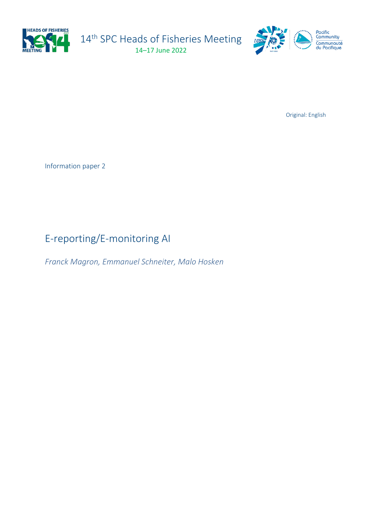

14<sup>th</sup> SPC Heads of Fisheries Meeting 14–17 June 2022



Original: English

Information paper 2

# E-reporting/E-monitoring AI

*Franck Magron, Emmanuel Schneiter, Malo Hosken*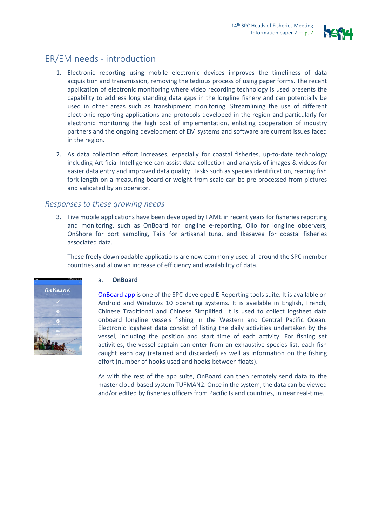

# ER/EM needs - introduction

- 1. Electronic reporting using mobile electronic devices improves the timeliness of data acquisition and transmission, removing the tedious process of using paper forms. The recent application of electronic monitoring where video recording technology is used presents the capability to address long standing data gaps in the longline fishery and can potentially be used in other areas such as transhipment monitoring. Streamlining the use of different electronic reporting applications and protocols developed in the region and particularly for electronic monitoring the high cost of implementation, enlisting cooperation of industry partners and the ongoing development of EM systems and software are current issues faced in the region.
- 2. As data collection effort increases, especially for coastal fisheries, up-to-date technology including Artificial Intelligence can assist data collection and analysis of images & videos for easier data entry and improved data quality. Tasks such as species identification, reading fish fork length on a measuring board or weight from scale can be pre-processed from pictures and validated by an operator.

## *Responses to these growing needs*

3. Five mobile applications have been developed by FAME in recent years for fisheries reporting and monitoring, such as OnBoard for longline e-reporting, Ollo for longline observers, OnShore for port sampling, Tails for artisanal tuna, and Ikasavea for coastal fisheries associated data.

These freely downloadable applications are now commonly used all around the SPC member countries and allow an increase of efficiency and availability of data.



### a. **OnBoard**

[OnBoard app](https://play.google.com/store/apps/details?id=spc.ofp.onBoard&hl=en&gl=US) is one of the SPC-developed E-Reporting tools suite. It is available on Android and Windows 10 operating systems. It is available in English, French, Chinese Traditional and Chinese Simplified. It is used to collect logsheet data onboard longline vessels fishing in the Western and Central Pacific Ocean. Electronic logsheet data consist of listing the daily activities undertaken by the vessel, including the position and start time of each activity. For fishing set activities, the vessel captain can enter from an exhaustive species list, each fish caught each day (retained and discarded) as well as information on the fishing effort (number of hooks used and hooks between floats).

As with the rest of the app suite, OnBoard can then remotely send data to the master cloud-based system TUFMAN2. Once in the system, the data can be viewed and/or edited by fisheries officers from Pacific Island countries, in near real-time.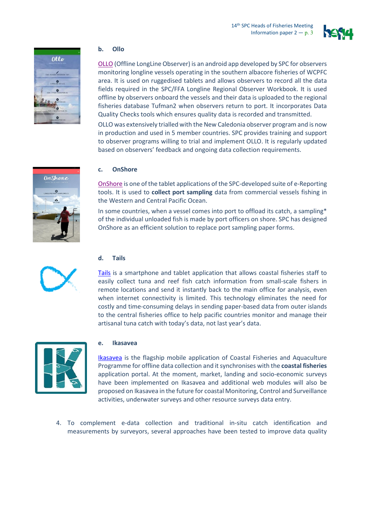



#### **b. Ollo**

[OLLO](https://play.google.com/store/apps/details?id=spc.ofp.ollo&hl=en&gl=US) (Offline LongLine Observer) is an android app developed by SPC for observers monitoring longline vessels operating in the southern albacore fisheries of WCPFC area. It is used on ruggedised tablets and allows observers to record all the data fields required in the SPC/FFA Longline Regional Observer Workbook. It is used offline by observers onboard the vessels and their data is uploaded to the regional fisheries database Tufman2 when observers return to port. It incorporates Data Quality Checks tools which ensures quality data is recorded and transmitted.

OLLO was extensively trialled with the New Caledonia observer program and is now in production and used in 5 member countries. SPC provides training and support to observer programs willing to trial and implement OLLO. It is regularly updated based on observers' feedback and ongoing data collection requirements.



### **c. OnShore**

[OnShore](https://play.google.com/store/apps/details?id=spc.ofp.onshore&hl=en&gl=US) is one of the tablet applications of the SPC-developed suite of e-Reporting tools. It is used to **collect port sampling** data from commercial vessels fishing in the Western and Central Pacific Ocean.

In some countries, when a vessel comes into port to offload its catch, a sampling\* of the individual unloaded fish is made by port officers on shore. SPC has designed OnShore as an efficient solution to replace port sampling paper forms.



#### **d. Tails**

[Tails](https://play.google.com/store/apps/details?id=spc.ofp.tails&hl=en&gl=US) is a smartphone and tablet application that allows coastal fisheries staff to easily collect tuna and reef fish catch information from small-scale fishers in remote locations and send it instantly back to the main office for analysis, even when internet connectivity is limited. This technology eliminates the need for costly and time-consuming delays in sending paper-based data from outer islands to the central fisheries office to help pacific countries monitor and manage their artisanal tuna catch with today's data, not last year's data.



#### **e. Ikasavea**

[Ikasavea](https://play.google.com/store/apps/details?id=spc.ikasavea&hl=en&gl=US) is the flagship mobile application of Coastal Fisheries and Aquaculture Programme for offline data collection and it synchronises with the **coastal fisheries** application portal. At the moment, market, landing and socio-economic surveys have been implemented on Ikasavea and additional web modules will also be proposed on Ikasavea in the future for coastal Monitoring, Control and Surveillance activities, underwater surveys and other resource surveys data entry.

4. To complement e-data collection and traditional in-situ catch identification and measurements by surveyors, several approaches have been tested to improve data quality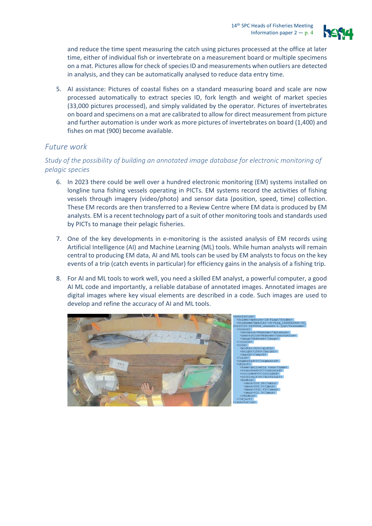

and reduce the time spent measuring the catch using pictures processed at the office at later time, either of individual fish or invertebrate on a measurement board or multiple specimens on a mat. Pictures allow for check of species ID and measurements when outliers are detected in analysis, and they can be automatically analysed to reduce data entry time.

5. AI assistance: Pictures of coastal fishes on a standard measuring board and scale are now processed automatically to extract species ID, fork length and weight of market species (33,000 pictures processed), and simply validated by the operator. Pictures of invertebrates on board and specimens on a mat are calibrated to allow for direct measurement from picture and further automation is under work as more pictures of invertebrates on board (1,400) and fishes on mat (900) become available.

## *Future work*

## *Study of the possibility of building an annotated image database for electronic monitoring of pelagic species*

- 6. In 2023 there could be well over a hundred electronic monitoring (EM) systems installed on longline tuna fishing vessels operating in PICTs. EM systems record the activities of fishing vessels through imagery (video/photo) and sensor data (position, speed, time) collection. These EM records are then transferred to a Review Centre where EM data is produced by EM analysts. EM is a recent technology part of a suit of other monitoring tools and standards used by PICTs to manage their pelagic fisheries.
- 7. One of the key developments in e-monitoring is the assisted analysis of EM records using Artificial Intelligence (AI) and Machine Learning (ML) tools. While human analysts will remain central to producing EM data, AI and ML tools can be used by EM analysts to focus on the key events of a trip (catch events in particular) for efficiency gains in the analysis of a fishing trip.
- 8. For AI and ML tools to work well, you need a skilled EM analyst, a powerful computer, a good AI ML code and importantly, a reliable database of annotated images. Annotated images are digital images where key visual elements are described in a code. Such images are used to develop and refine the accuracy of AI and ML tools.

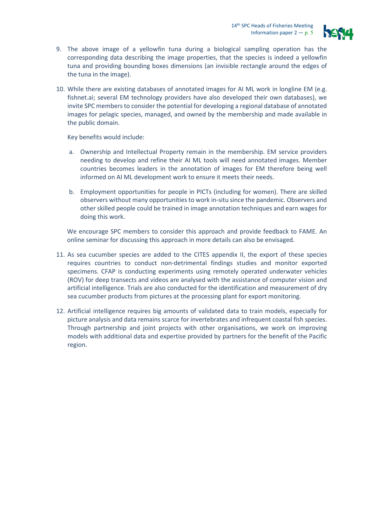

- 9. The above image of a yellowfin tuna during a biological sampling operation has the corresponding data describing the image properties, that the species is indeed a yellowfin tuna and providing bounding boxes dimensions (an invisible rectangle around the edges of the tuna in the image).
- 10. While there are existing databases of annotated images for AI ML work in longline EM (e.g. fishnet.ai; several EM technology providers have also developed their own databases), we invite SPC members to consider the potential for developing a regional database of annotated images for pelagic species, managed, and owned by the membership and made available in the public domain.

Key benefits would include:

- a. Ownership and Intellectual Property remain in the membership. EM service providers needing to develop and refine their AI ML tools will need annotated images. Member countries becomes leaders in the annotation of images for EM therefore being well informed on AI ML development work to ensure it meets their needs.
- b. Employment opportunities for people in PICTs (including for women). There are skilled observers without many opportunities to work in-situ since the pandemic. Observers and other skilled people could be trained in image annotation techniques and earn wages for doing this work.

We encourage SPC members to consider this approach and provide feedback to FAME. An online seminar for discussing this approach in more details can also be envisaged.

- 11. As sea cucumber species are added to the CITES appendix II, the export of these species requires countries to conduct non-detrimental findings studies and monitor exported specimens. CFAP is conducting experiments using remotely operated underwater vehicles (ROV) for deep transects and videos are analysed with the assistance of computer vision and artificial intelligence. Trials are also conducted for the identification and measurement of dry sea cucumber products from pictures at the processing plant for export monitoring.
- 12. Artificial intelligence requires big amounts of validated data to train models, especially for picture analysis and data remains scarce for invertebrates and infrequent coastal fish species. Through partnership and joint projects with other organisations, we work on improving models with additional data and expertise provided by partners for the benefit of the Pacific region.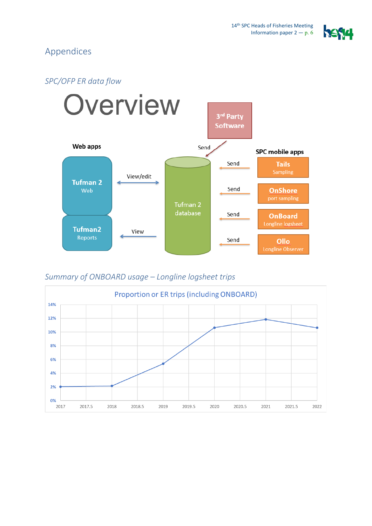

# Appendices

## *SPC/OFP ER data flow*



## *Summary of ONBOARD usage – Longline logsheet trips*

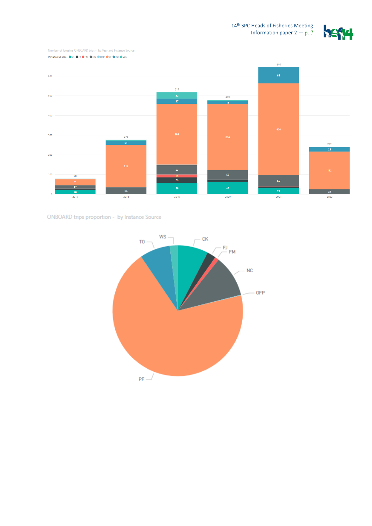







ONBOARD trips proportion - by Instance Source

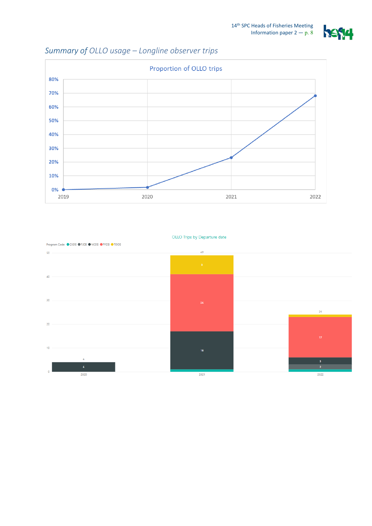

# *Summary of OLLO usage – Longline observer trips*





#### OLLO Trips by Departure date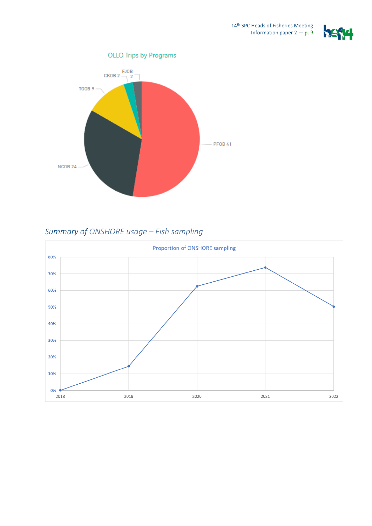



# *Summary of ONSHORE usage – Fish sampling*